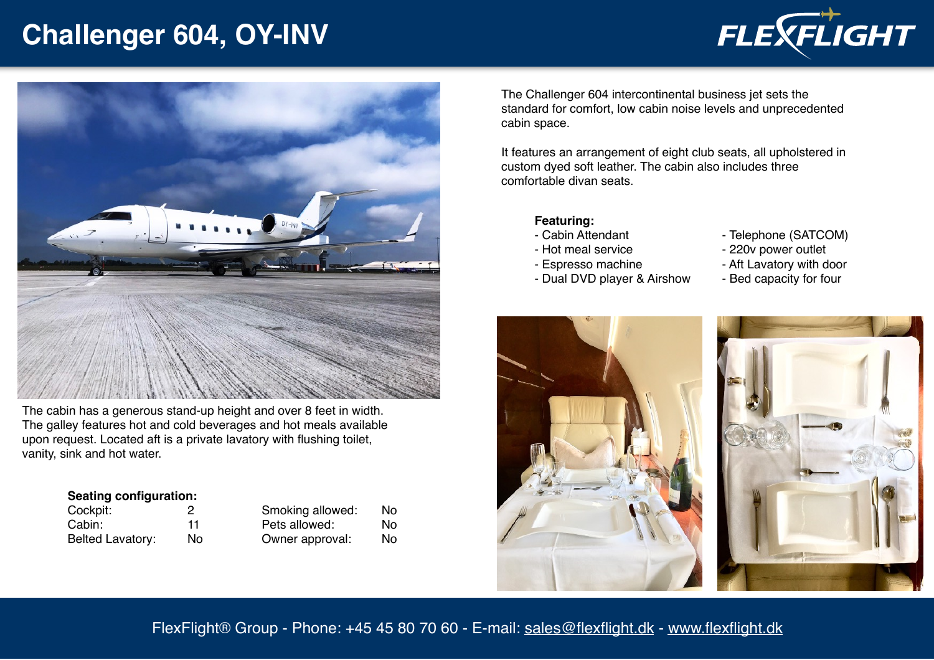# **Challenger 604, OY-INV**



The cabin has a generous stand-up height and over 8 feet in width. The galley features hot and cold beverages and hot meals available upon request. Located aft is a private lavatory with flushing toilet, vanity, sink and hot water.

#### **Seating configuration:**

| Cockpit:         |     | Smoking allowed: | Nο  |
|------------------|-----|------------------|-----|
| Cabin:           | 11  | Pets allowed:    | Nο  |
| Belted Lavatory: | No. | Owner approval:  | No. |

The Challenger 604 intercontinental business jet sets the standard for comfort, low cabin noise levels and unprecedented cabin space.

It features an arrangement of eight club seats, all upholstered in custom dyed soft leather. The cabin also includes three comfortable divan seats.

### **Featuring:**

- Cabin Attendant
- Hot meal service
- Espresso machine

- Dual DVD player & Airshow

- Telephone (SATCOM)
- 220v power outlet
- Aft Lavatory with door
- Bed capacity for four





## FlexFlight® Group - Phone: +45 45 80 70 60 - E-mail: [sales@flexflight.dk](mailto:sales@flexflight.dk) - [www.flexflight.dk](http://www.flexflight.dk)